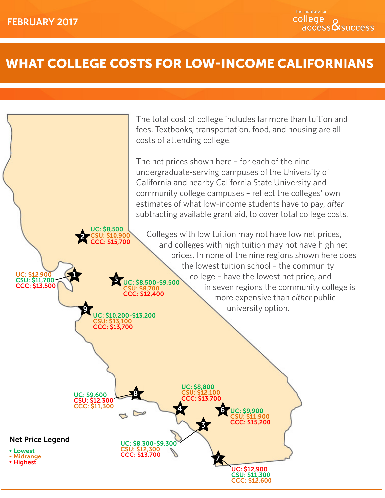# What College Costs for Low-Income Californians

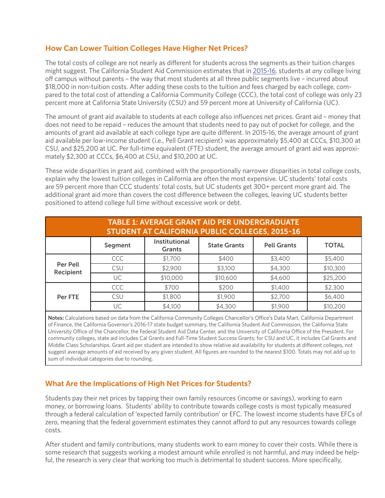### How Can Lower Tuition Colleges Have Higher Net Prices?

The total costs of college are not nearly as different for students across the segments as their tuition charges might suggest. The California Student Aid Commission estimates that in [2015-16](http://extranet.cccco.edu/Portals/1/SSSP/FA/2015-16%20Student%20Expense%20Budget.pdf), students at *any* college living off campus without parents – the way that most students at all three public segments live – incurred about \$18,000 in non-tuition costs. After adding these costs to the tuition and fees charged by each college, compared to the total cost of attending a California Community College (CCC), the total cost of college was only 23 percent more at California State University (CSU) and 59 percent more at University of California (UC).

The amount of grant aid available to students at each college also influences net prices. Grant aid – money that does not need to be repaid – reduces the amount that students need to pay out of pocket for college, and the amounts of grant aid available at each college type are quite different. In 2015-16, the average amount of grant aid available per low-income student (i.e., Pell Grant recipient) was approximately \$5,400 at CCCs, \$10,300 at CSU, and \$25,200 at UC. Per full-time equivalent (FTE) student, the average amount of grant aid was approximately \$2,300 at CCCs, \$6,400 at CSU, and \$10,200 at UC.

These wide disparities in grant aid, combined with the proportionally narrower disparities in total college costs, explain why the lowest tuition colleges in California are often the most expensive. UC students' total costs are 59 percent more than CCC students' total costs, but UC students get 300+ percent more grant aid. The additional grant aid more than covers the cost difference between the colleges, leaving UC students better positioned to attend college full time without excessive work or debt.

| <b>TABLE 1: AVERAGE GRANT AID PER UNDERGRADUATE</b><br><b>STUDENT AT CALIFORNIA PUBLIC COLLEGES, 2015-16</b>  |            |          |          |         |          |  |  |  |  |
|---------------------------------------------------------------------------------------------------------------|------------|----------|----------|---------|----------|--|--|--|--|
| <b>Institutional</b><br><b>Pell Grants</b><br>Segment<br><b>State Grants</b><br><b>TOTAL</b><br><b>Grants</b> |            |          |          |         |          |  |  |  |  |
| <b>Per Pell</b><br>Recipient                                                                                  | <b>CCC</b> | \$1,700  | \$400    | \$3,400 | \$5,400  |  |  |  |  |
|                                                                                                               | CSU        | \$2,900  | \$3,100  | \$4,300 | \$10,300 |  |  |  |  |
|                                                                                                               | UC         | \$10,000 | \$10,600 | \$4,600 | \$25,200 |  |  |  |  |
| Per FTE                                                                                                       | CCC        | \$700    | \$200    | \$1,400 | \$2,300  |  |  |  |  |
|                                                                                                               | CSU        | \$1,800  | \$1,900  | \$2,700 | \$6,400  |  |  |  |  |
|                                                                                                               | UC         | \$4,100  | \$4,300  | \$1,900 | \$10,200 |  |  |  |  |

**Notes:** Calculations based on data from the California Community Colleges Chancellor's Office's Data Mart, California Department of Finance, the California Governor's 2016-17 state budget summary, the California Student Aid Commission, the California State University Office of the Chancellor, the Federal Student Aid Data Center, and the University of California Office of the President. For community colleges, state aid includes Cal Grants and Full-Time Student Success Grants; for CSU and UC, it includes Cal Grants and Middle Class Scholarships. Grant aid per student are intended to show relative aid availability for students at different colleges, not suggest average amounts of aid received by any given student. All figures are rounded to the nearest \$100. Totals may not add up to sum of individual categories due to rounding.

## What Are the Implications of High Net Prices for Students?

Students pay their net prices by tapping their own family resources (income or savings), working to earn money, or borrowing loans. Students' ability to contribute towards college costs is most typically measured through a federal calculation of 'expected family contribution' or EFC. The lowest income students have EFCs of zero, meaning that the federal government estimates they cannot afford to put any resources towards college costs.

After student and family contributions, many students work to earn money to cover their costs. While there is some research that suggests working a modest amount while enrolled is not harmful, and may indeed be helpful, the research is very clear that working too much is detrimental to student success. More specifically,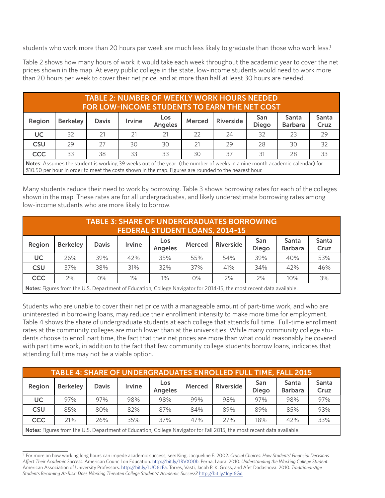students who work more than 20 hours per week are much less likely to graduate than those who work less.<sup>1</sup>

Table 2 shows how many hours of work it would take each week throughout the academic year to cover the net prices shown in the map. At every public college in the state, low-income students would need to work more than 20 hours per week to cover their net price, and at more than half at least 30 hours are needed.

| <b>TABLE 2: NUMBER OF WEEKLY WORK HOURS NEEDED</b><br><b>FOR LOW-INCOME STUDENTS TO EARN THE NET COST</b>                  |                 |              |               |                       |               |                  |                     |                                |                      |
|----------------------------------------------------------------------------------------------------------------------------|-----------------|--------------|---------------|-----------------------|---------------|------------------|---------------------|--------------------------------|----------------------|
| Region                                                                                                                     | <b>Berkeley</b> | <b>Davis</b> | <b>Irvine</b> | Los<br><b>Angeles</b> | <b>Merced</b> | <b>Riverside</b> | San<br><b>Diego</b> | <b>Santa</b><br><b>Barbara</b> | <b>Santa</b><br>Cruz |
| UC                                                                                                                         | 32              | 21           | 21            | 21                    | 22            | 24               | 32                  | 23                             | 29                   |
| <b>CSU</b>                                                                                                                 | 29              | 27           | 30            | 30                    | 21            | 29               | 28                  | 30                             | 32                   |
| <b>CCC</b>                                                                                                                 | 33              | 38           | 33            | 33                    | 30            | 37               | 31                  | 28                             | 33                   |
| Notes: Assumes the student is working 39 weeks out of the year (the number of weeks in a nine month academic calendar) for |                 |              |               |                       |               |                  |                     |                                |                      |

**Notes**: Assumes the student is working 39 weeks out of the year (the number of weeks in a nine month academic calendar) for \$10.50 per hour in order to meet the costs shown in the map. Figures are rounded to the nearest hour.

Many students reduce their need to work by borrowing. Table 3 shows borrowing rates for each of the colleges shown in the map. These rates are for all undergraduates, and likely underestimate borrowing rates among low-income students who are more likely to borrow.

| <b>TABLE 3: SHARE OF UNDERGRADUATES BORROWING</b><br><b>FEDERAL STUDENT LOANS, 2014-15</b>                                  |                 |              |               |                       |        |           |                     |                         |               |
|-----------------------------------------------------------------------------------------------------------------------------|-----------------|--------------|---------------|-----------------------|--------|-----------|---------------------|-------------------------|---------------|
| Region                                                                                                                      | <b>Berkeley</b> | <b>Davis</b> | <b>Irvine</b> | Los<br><b>Angeles</b> | Merced | Riverside | San<br><b>Diego</b> | Santa<br><b>Barbara</b> | Santa<br>Cruz |
| <b>UC</b>                                                                                                                   | 26%             | 39%          | 42%           | 35%                   | 55%    | 54%       | 39%                 | 40%                     | 53%           |
| <b>CSU</b>                                                                                                                  | 37%             | 38%          | 31%           | 32%                   | 37%    | 41%       | 34%                 | 42%                     | 46%           |
| <b>CCC</b>                                                                                                                  | 2%              | $0\%$        | $1\%$         | $1\%$                 | $0\%$  | 2%        | 2%                  | 10%                     | 3%            |
| <b>Notes:</b> Figures from the U.S. Department of Education, College Navigator for 2014-15, the most recent data available. |                 |              |               |                       |        |           |                     |                         |               |

Students who are unable to cover their net price with a manageable amount of part-time work, and who are uninterested in borrowing loans, may reduce their enrollment intensity to make more time for employment. Table 4 shows the share of undergraduate students at each college that attends full time. Full-time enrollment rates at the community colleges are much lower than at the universities. While many community college students choose to enroll part time, the fact that their net prices are more than what could reasonably be covered with part time work, in addition to the fact that few community college students borrow loans, indicates that attending full time may not be a viable option.

| TABLE 4: SHARE OF UNDERGRADUATES ENROLLED FULL TIME, FALL 2015                                                         |                 |              |        |                       |               |           |                     |                                |               |
|------------------------------------------------------------------------------------------------------------------------|-----------------|--------------|--------|-----------------------|---------------|-----------|---------------------|--------------------------------|---------------|
| Region                                                                                                                 | <b>Berkeley</b> | <b>Davis</b> | Irvine | Los<br><b>Angeles</b> | <b>Merced</b> | Riverside | San<br><b>Diego</b> | <b>Santa</b><br><b>Barbara</b> | Santa<br>Cruz |
| UC                                                                                                                     | 97%             | 97%          | 98%    | 98%                   | 99%           | 98%       | 97%                 | 98%                            | 97%           |
| <b>CSU</b>                                                                                                             | 85%             | 80%          | 82%    | 87%                   | 84%           | 89%       | 89%                 | 85%                            | 93%           |
| <b>CCC</b>                                                                                                             | 21%             | 26%          | 35%    | 37%                   | 47%           | 27%       | 18%                 | 42%                            | 33%           |
| Notes: Figures from the U.S. Department of Education, College Navigator for Fall 2015, the most recent data available. |                 |              |        |                       |               |           |                     |                                |               |

<sup>1</sup> For more on how working long hours can impede academic success, see: King, Jacqueline E. 2002. *Crucial Choices: How Students' Financial Decisions Affect Their Academic Success*. American Council on Education. [http://bit.ly/1RVX00b.](http://bit.ly/1RVX00b) Perna, Laura. 2010. *Understanding the Working College Student*. American Association of University Professors. <http://bit.ly/1UO6zEa>. Torres, Vasti, Jacob P. K. Gross, and Afet Dadashova. 2010. *Traditional-Age Students Becoming At-Risk: Does Working Threaten College Students' Academic Success?* [http://bit.ly/1qyI6Gd.](http://bit.ly/1qyI6Gd)